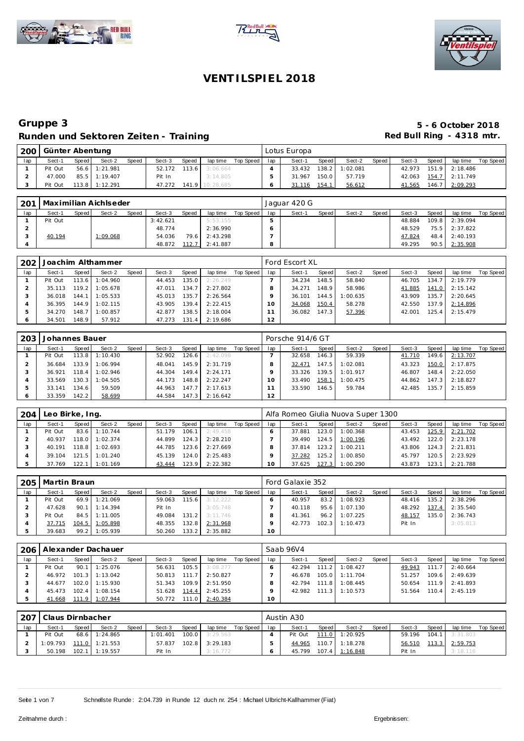





| 200 | Günter Abentung |       |                |              |        |       |                        |             |     | Lotus Europa |       |          |       |        |       |                |           |
|-----|-----------------|-------|----------------|--------------|--------|-------|------------------------|-------------|-----|--------------|-------|----------|-------|--------|-------|----------------|-----------|
| lap | Sect-1          | Speed | Sect-2         | <b>Speed</b> | Sect-3 | Speed | lap time               | Top Speed I | lap | Sect-1       | Speed | Sect-2   | Speed | Sect-3 | Speed | lap time       | Top Speed |
|     | Pit Out         |       | 56.6 1:21.981  |              |        |       | 52.172 113.6 3:06.664  |             |     | 33.432       | 138.2 | 1:02.081 |       | 42.973 |       | 151.9 2:18.486 |           |
|     | 47.000          |       | 85.5 1:19.407  |              | Pit In |       | 3:14.805               |             |     | 31.967       | 150.0 | 57.719   |       | 42.063 |       | 154.7 2:11.749 |           |
|     | Pit Out         |       | 113.8 1:12.291 |              |        |       | 47.272 141.9 10:28.685 |             |     | 31.116       | 154.1 | 56.612   |       | 41.565 | 146.7 | 2:09.293       |           |

| 201 | Maximilian Aichlseder |       |          |       |          |       |          |           |     | Jaguar 420 G |       |        |        |        |       |                |           |
|-----|-----------------------|-------|----------|-------|----------|-------|----------|-----------|-----|--------------|-------|--------|--------|--------|-------|----------------|-----------|
| lap | Sect-1                | Speed | Sect-2   | Speed | Sect-3   | Speed | lap time | Top Speed | lap | Sect-1       | Speed | Sect-2 | Speed, | Sect-3 | Speed | lap time       | Top Speed |
|     | Pit Out               |       |          |       | 3:42.621 |       | 5:53.155 |           |     |              |       |        |        | 48.884 |       | 109.8 2:39.094 |           |
|     |                       |       |          |       | 48.774   |       | 2:36.990 |           |     |              |       |        |        | 48.529 |       | 75.5 2:37.822  |           |
|     | 40.194                |       | 1:09.068 |       | 54.036   | 79.6  | 2:43.298 |           |     |              |       |        |        | 47.824 |       | 48.4 2:40.193  |           |
|     |                       |       |          |       | 48.872   | 112.7 | 2:41.887 |           | 8   |              |       |        |        | 49.295 | 90.5  | 2:35.908       |           |

| 202 |         |         | Joachim Althammer |       |        |                    |          |           |     | Ford Escort XL |                    |          |       |        |        |          |           |
|-----|---------|---------|-------------------|-------|--------|--------------------|----------|-----------|-----|----------------|--------------------|----------|-------|--------|--------|----------|-----------|
| lap | Sect-1  | Speed   | Sect-2            | Speed | Sect-3 | Speed              | lap time | Top Speed | lap | Sect-1         | Speed              | Sect-2   | Speed | Sect-3 | Speed  | lap time | Top Speed |
|     | Pit Out |         | 113.6 1:04.960    |       | 44.453 | 135.0              | 2:26.249 |           |     | 34.234         | 148.5 <sub>1</sub> | 58.840   |       | 46.705 | 134.7  | 2:19.779 |           |
|     | 35.113  |         | 119.2 1:05.678    |       | 47.011 | 134.7 <sub>1</sub> | 2:27.802 |           |     | 34.271         | 148.9              | 58.986   |       | 41.885 | 141.0  | 2:15.142 |           |
|     | 36.018  |         | 144.1 1:05.533    |       | 45.013 | 135.7              | 2:26.564 |           |     | 36.101         | 144.5              | 1:00.635 |       | 43.909 | 135.7  | 2:20.645 |           |
|     | 36.395  |         | 144.9 1:02.115    |       | 43.905 | 139.4              | 2:22.415 |           |     | 34.068         | 150.4              | 58.278   |       | 42.550 | 137.9  | 2:14.896 |           |
|     | 34.270  |         | 148.7 1:00.857    |       | 42.877 | 138.5              | 2:18.004 |           |     | 36.082         | 147.3              | 57.396   |       | 42.001 | 125.4. | 2:15.479 |           |
|     | 34.501  | 148.9 I | 57.912            |       | 47.273 | 131.4              | 2:19.686 |           | 12  |                |                    |          |       |        |        |          |           |

| 203 | Johannes Bauer |         |                  |       |        |       |          |           |     | Porsche 914/6 GT |                    |          |       |        |       |          |           |
|-----|----------------|---------|------------------|-------|--------|-------|----------|-----------|-----|------------------|--------------------|----------|-------|--------|-------|----------|-----------|
| lap | Sect-1         | Speed   | Sect-2           | Speed | Sect-3 | Speed | lap time | Top Speed | lap | Sect-1           | Speed              | Sect-2   | Speed | Sect-3 | Speed | lap time | Top Speed |
|     | Pit Out        |         | $113.8$ 1:10.430 |       | 52.902 | 126.6 | 2:42.098 |           |     | 32.658           | 146.3              | 59.339   |       | 41.710 | 149.6 | 2:13.707 |           |
|     | 36.684         |         | 133.9 1:06.994   |       | 48.041 | 145.9 | 2:31.719 |           |     | 32.471           | 147.5              | 1:02.081 |       | 43.323 | 150.0 | 2:17.875 |           |
|     | 36.921         | 118.4   | 1:02.946         |       | 44.304 | 149.4 | 2:24.171 |           |     | 33.326           | 139.5 <sub>1</sub> | 1:01.917 |       | 46.807 | 148.4 | 2:22.050 |           |
|     | 33.569         |         | 130.3 1:04.505   |       | 44.173 | 148.8 | 2:22.247 |           |     | 33.490           | 158.1              | 1:00.475 |       | 44.862 | 147.3 | 2:18.827 |           |
|     | 33.141         | 134.6 I | 59.509           |       | 44.963 | 147.7 | 2:17.613 |           |     | 33.590           | 146.5              | 59.784   |       | 42.485 | 135.7 | 2:15.859 |           |
|     | 33.359         | 142.2   | 58.699           |       | 44.584 | 147.3 | 2:16.642 |           | 12  |                  |                    |          |       |        |       |          |           |

| 204 | Leo Birke, Ing. |       |                  |       |        |       |          |           |     | Alfa Romeo Giulia Nuova Super 1300 |        |                |       |        |       |                    |           |
|-----|-----------------|-------|------------------|-------|--------|-------|----------|-----------|-----|------------------------------------|--------|----------------|-------|--------|-------|--------------------|-----------|
| lap | Sect-1          | Speed | Sect-2           | Speed | Sect-3 | Speed | lap time | Top Speed | lap | Sect-1                             | Speed  | Sect-2         | Speed | Sect-3 | Speed | lap time           | Top Speed |
|     | Pit Out         | 83.6  | 1:10.744         |       | 51.179 | 106.1 | 2:49.458 |           |     | 37.881                             | 123.0  | 1:00.368       |       | 43.453 | 125.9 | 2:21.702           |           |
|     | 40.937          |       | $118.0$ 1:02.374 |       | 44.899 | 124.3 | 2:28.210 |           |     | 39.490                             |        | 124.5 1:00.196 |       | 43.492 |       | $122.0$ $2:23.178$ |           |
|     | 40.191          |       | $118.8$ 1:02.693 |       | 44.785 | 123.6 | 2:27.669 |           |     | 37.814                             | 123.2  | 1:00.211       |       | 43.806 |       | $124.3$ $2:21.831$ |           |
|     | 39.104          | 121.5 | 1:01.240         |       | 45.139 | 124.0 | 2:25.483 |           |     | 37.282                             | 125.21 | 1:00.850       |       | 45.797 | 120.5 | 2:23.929           |           |
|     | 37.769          | 122.1 | 1:01.169         |       | 43.444 | 123.9 | 2:22.382 |           |     | 37.625                             | 127.3  | 1:00.290       |       | 43.873 | 123.1 | 2:21.788           |           |

| 205 | Martin Braun |            |                 |       |        |           |          |           |     | Ford Galaxie 352 |       |          |       |        |       |          |           |
|-----|--------------|------------|-----------------|-------|--------|-----------|----------|-----------|-----|------------------|-------|----------|-------|--------|-------|----------|-----------|
| lap | Sect-1       | Speed I    | Sect-2          | Speed | Sect-3 | Speed     | lap time | Top Speed | lap | Sect-1           | Speed | Sect-2   | Speed | Sect-3 | Speed | lap time | Top Speed |
|     | Pit Out      |            | 69.9 1:21.069   |       | 59.063 | $115.6$ 1 | 3:12.222 |           |     | 40.957           | 83.2  | 1:08.923 |       | 48.416 | 135.2 | 2:38.296 |           |
|     | 47.628       |            | $90.1$ 1:14.394 |       | Pit In |           | 3:05.748 |           |     | 40.118           | 95.6  | 1:07.130 |       | 48.292 | 137.4 | 2:35.540 |           |
|     | Pit Out      |            | 84.5 1:11.005   |       | 49.084 | 131.2     | 3:11.746 |           |     | 41.361           | 96.2  | 1:07.225 |       | 48.157 | 135.0 | 2:36.743 |           |
|     | 37.715       |            | 104.5 1:05.898  |       | 48.355 | 132.8     | 2:31.968 |           |     | 42.773           | 102.3 | 1:10.473 |       | Pit In |       | 3:05.813 |           |
|     | 39.683       | $99.2$   1 | 1:05.939        |       | 50.260 | 133.2     | 2:35.882 |           | 10  |                  |       |          |       |        |       |          |           |

| 206 |         |       | Alexander Dachauer |       |              |       |          |           |     | Saab 96V4 |       |                    |       |        |       |          |           |
|-----|---------|-------|--------------------|-------|--------------|-------|----------|-----------|-----|-----------|-------|--------------------|-------|--------|-------|----------|-----------|
| lap | Sect-1  | Speed | Sect-2             | Speed | Sect-3       | Speed | lap time | Top Speed | lap | Sect-1    | Speed | Sect-2             | Speed | Sect-3 | Speed | lap time | Top Speed |
|     | Pit Out | 90.1  | 1:25.076           |       | 56.631       | 105.5 | 3:08.277 |           |     | 42.294    |       | $111.2$ 1:08.427   |       | 49.943 | 111.7 | 2:40.664 |           |
|     | 46.972  | 101.3 | 1:13.042           |       | 50.813       | 111.7 | 2:50.827 |           |     | 46.678    |       | $105.0$ 1:11.704   |       | 51.257 | 109.6 | 2:49.639 |           |
|     | 44.677  |       | $102.0$ 1:15.930   |       | 51.343       | 109.9 | 2:51.950 |           |     | 42.794    |       | 111.8 1:08.445     |       | 50.654 | 111.9 | 2:41.893 |           |
|     | 45.473  | 102.4 | 1:08.154           |       | 51.628       | 114.4 | 2:45.255 |           |     | 42.982    |       | $111.3$   1:10.573 |       | 51.564 | 110.4 | 2:45.119 |           |
|     | 41.668  | 111.9 | 1:07.944           |       | 50.772 111.0 |       | 2:40.384 |           | 10  |           |       |                    |       |        |       |          |           |

|     | 207   Claus Dirnbacher |       |                             |              |          |       |          |           |     | Austin A30 |       |                  |       |        |       |                  |           |
|-----|------------------------|-------|-----------------------------|--------------|----------|-------|----------|-----------|-----|------------|-------|------------------|-------|--------|-------|------------------|-----------|
| lap | Sect-1                 | Speed | Sect-2                      | <b>Speed</b> | Sect-3   | Speed | lap time | Top Speed | lap | Sect-1     | Speed | Sect-2           | Speed | Sect-3 | Speed | lap time         | Top Speed |
|     | Pit Out                |       | 68.6 1:24.865               |              | 1:01.401 | 100.0 | 3:29.563 |           |     | Pit Out    |       | 111.0 1:20.925   |       | 59.196 |       | $104.1$ 3:31.803 |           |
|     |                        |       | $1:09.793$ 111.0   1:21.553 |              | 57.837   | 102.8 | 3:29.183 |           |     | 44.965     |       | 110.7 1:18.278   |       | 56.510 | 113.3 | 2:59.753         |           |
|     | 50.198                 |       | $102.1$ 1:19.557            |              | Pit In   |       | 3:16.772 |           |     | 45.799     |       | $107.4$ 1:16.848 |       | Pit In |       | 3:18.116         |           |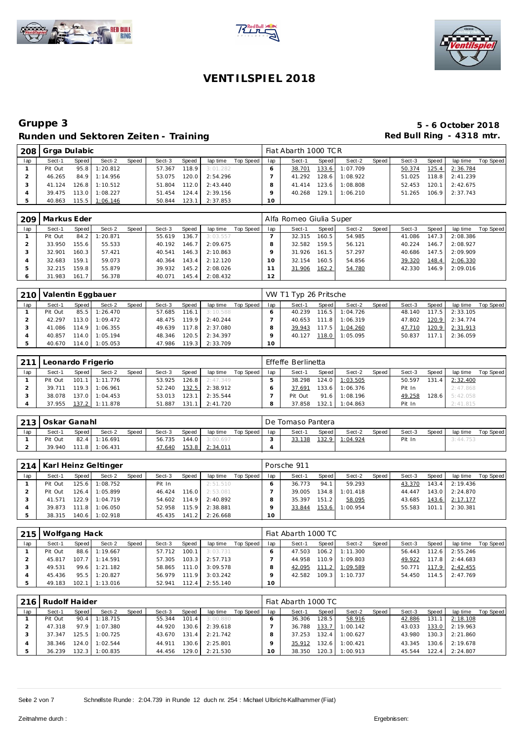





| 208 | Grga Dulabic |       |                |       |        |       |          |           |     | Fiat Abarth 1000 TCR |                    |          |       |        |       |                  |           |
|-----|--------------|-------|----------------|-------|--------|-------|----------|-----------|-----|----------------------|--------------------|----------|-------|--------|-------|------------------|-----------|
| lap | Sect-1       | Speed | Sect-2         | Speed | Sect-3 | Speed | lap time | Top Speed | lap | Sect-1               | Speed              | Sect-2   | Speed | Sect-3 | Speed | lap time         | Top Speed |
|     | Pit Out      | 95.8  | 1:20.812       |       | 57.367 | 118.9 | 3:01.282 |           |     | 38.701               | 133.6              | 1:07.709 |       | 50.374 | 125.4 | 2:36.784         |           |
|     | 46.265       | 84.9  | 1:14.956       |       | 53.075 | 120.0 | 2:54.296 |           |     | 41.292               | 128.6              | 1:08.922 |       | 51.025 |       | 118.8 2:41.239   |           |
|     | 41.124       | 126.8 | 1:10.512       |       | 51.804 | 112.0 | 2:43.440 |           |     | 41.414               | 123.6 <sub>1</sub> | 1:08.808 |       | 52.453 | 120.1 | 2:42.675         |           |
|     | 39.475       | 113.0 | 1:08.227       |       | 51.454 | 124.4 | 2:39.156 |           |     | 40.268               | 129.1              | 1:06.210 |       | 51.265 |       | $106.9$ 2:37.743 |           |
| 5   | 40.863       |       | 115.5 1:06.146 |       | 50.844 | 123.1 | 2:37.853 |           | 10  |                      |                    |          |       |        |       |                  |           |

| 209 | Markus Eder |       |          |       |        |       |          |           |     | Alfa Romeo Giulia Super |       |        |       |        |       |                |           |
|-----|-------------|-------|----------|-------|--------|-------|----------|-----------|-----|-------------------------|-------|--------|-------|--------|-------|----------------|-----------|
| lap | Sect-1      | Speed | Sect-2   | Speed | Sect-3 | Speed | lap time | Top Speed | lap | Sect-1                  | Speed | Sect-2 | Speed | Sect-3 | Speed | lap time       | Top Speed |
|     | Pit Out     | 84.2  | : 20.871 |       | 55.619 | 136.7 | 3:03.557 |           |     | 32.315                  | 160.5 | 54.985 |       | 41.086 |       | 147.3 2:08.386 |           |
|     | 33.950      | 155.6 | 55.533   |       | 40.192 | 146.7 | 2:09.675 |           |     | 32.582                  | 159.5 | 56.121 |       | 40.224 | 146.7 | 2:08.927       |           |
|     | 32.901      | 160.3 | 57.421   |       | 40.541 | 146.3 | 2:10.863 |           |     | 31.926                  | 161.5 | 57.297 |       | 40.686 |       | 147.5 2:09.909 |           |
|     | 32.683      | 159.1 | 59.073   |       | 40.364 | 143.4 | 2:12.120 |           |     | 32.154                  | 160.5 | 54.856 |       | 39.320 | 148.4 | 2:06.330       |           |
|     | 32.215      | 159.8 | 55.879   |       | 39.932 | 145.2 | 2:08.026 |           |     | 31.906                  | 162.2 | 54.780 |       | 42.330 |       | 146.9 2:09.016 |           |
|     | 31.983      | 161.7 | 56.378   |       | 40.071 | 145.4 | 2:08.432 |           | 12  |                         |       |        |       |        |       |                |           |

| 210 | Valentin Eggbauer |       |                  |       |              |       |          |           |                 | VW T1 Typ 26 Pritsche |       |                    |       |              |       |          |           |
|-----|-------------------|-------|------------------|-------|--------------|-------|----------|-----------|-----------------|-----------------------|-------|--------------------|-------|--------------|-------|----------|-----------|
| lap | Sect-1            | Speed | Sect-2           | Speed | Sect-3       | Speed | lap time | Top Speed | lap             | Sect-1                | Speed | Sect-2             | Speed | Sect-3       | Speed | lap time | Top Speed |
|     | Pit Out           |       | 85.5 1:26.470    |       | 57.685       | 116.1 | 3:10.588 |           |                 | 40.239                |       | $116.5$   1:04.726 |       | 48.140       | 117.5 | 2:33.105 |           |
|     | 42.297            |       | 113.0 1:09.472   |       | 48.475 119.9 |       | 2:40.244 |           |                 | 40.653                |       | 111.8 1:06.319     |       | 47.802 120.9 |       | 2:34.774 |           |
|     | 41.086            |       | 114.9 1:06.355   |       | 49.639 117.8 |       | 2:37.080 |           |                 | 39.943                |       | 117.5 1:04.260     |       | 47.710       | 120.9 | 2:31.913 |           |
|     | 40.857            |       | 114.0 1:05.194   |       | 48.346       | 120.5 | 2:34.397 |           |                 | 40.127                |       | 118.0 1:05.095     |       | 50.837       | 117.1 | 2:36.059 |           |
|     | 40.670            |       | $114.0$ 1:05.053 |       | 47.986 119.3 |       | 2:33.709 |           | 10 <sup>°</sup> |                       |       |                    |       |              |       |          |           |

| 211 | Leonardo Frigerio |       |                  |       |        |       |          |           |     | Effeffe Berlinetta |       |          |       |        |       |          |           |
|-----|-------------------|-------|------------------|-------|--------|-------|----------|-----------|-----|--------------------|-------|----------|-------|--------|-------|----------|-----------|
| lap | Sect-1            | Speed | Sect-2           | Speed | Sect-3 | Speed | lap time | Top Speed | lap | Sect-1             | Speed | Sect-2   | Speed | Sect-3 | Speed | lap time | Top Speed |
|     | Pit Out           |       | $101.1$ 1:11.776 |       | 53.925 | 126.8 | 2:47.349 |           |     | 38.298             | 124.0 | 1:03.505 |       | 50.597 | 131.4 | 2:32.400 |           |
|     | 39.711            |       | 119.3 1:06.961   |       | 52.240 | 132.5 | 2:38.912 |           |     | 37.691             | 133.6 | 1:06.376 |       | Pit In |       | 2:47.868 |           |
|     | 38.078            |       | 137.0 1:04.453   |       | 53.013 | 123.1 | 2:35.544 |           |     | Pit Out            | 91.6  | 1:08.196 |       | 49.258 | 128.6 | 5:42.058 |           |
|     | 37.955            |       | 137.2 1:11.878   |       | 51.887 | 131.1 | 2:41.720 |           |     | 37.858             | 132.1 | 1:04.863 |       | Pit In |       | 2:41.815 |           |

| 213 | l Oskar Ganahl |         |                  |       |        |       |                  |           |              | De Tomaso Pantera |       |          |       |        |       |          |           |
|-----|----------------|---------|------------------|-------|--------|-------|------------------|-----------|--------------|-------------------|-------|----------|-------|--------|-------|----------|-----------|
| lap | Sect-1         | Speed I | Sect-2           | Speed | Sect-3 | Speed | lap time         | Top Speed | lap          | Sect-1            | Speed | Sect-2   | Speed | Sect-3 | Speed | lap time | Top Speed |
|     | Pit Out        |         | 82.4 1:16.691    |       | 56.735 | 144.0 | 3:00.697         |           |              | 33.138            | 132.9 | 1:04.924 |       | Pit In |       | 3:44.753 |           |
|     | 39.940         |         | $111.8$ 1:06.431 |       | 47.640 | 153.8 | <u> 2:34.011</u> |           | $\mathbf{u}$ |                   |       |          |       |        |       |          |           |

|     |         |       | 214   Karl Heinz Geltinger |       |        |       |          |           |     | Porsche 911 |       |                |         |        |       |                  |           |
|-----|---------|-------|----------------------------|-------|--------|-------|----------|-----------|-----|-------------|-------|----------------|---------|--------|-------|------------------|-----------|
| lap | Sect-1  | Speed | Sect-2                     | Speed | Sect-3 | Speed | lap time | Top Speed | lap | Sect-1      | Speed | Sect-2         | Speed I | Sect-3 | Speed | lap time         | Top Speed |
|     | Pit Out | 125.6 | 1:08.752                   |       | Pit In |       | 2:51.510 |           |     | 36.773      | 94.1  | 59.293         |         | 43.370 |       | $143.4$ 2:19.436 |           |
|     | Pit Out | 126.4 | 1:05.899                   |       | 46.424 | 116.0 | 2:53.081 |           |     | 39.005      | 134.8 | 1:01.418       |         | 44.447 |       | 143.0 2:24.870   |           |
|     | 41.571  |       | $122.9$ 1:04.719           |       | 54.602 | 114.9 | 2:40.892 |           | 8   | 35.397      | 151.2 | 58.095         |         | 43.685 |       | 143.6 2:17.177   |           |
|     | 39.873  |       | 111.8 1:06.050             |       | 52.958 | 115.9 | 2:38.881 |           |     | 33.844      |       | 153.6 1:00.954 |         | 55.583 | 101.1 | 2:30.381         |           |
|     | 38.315  |       | 140.6 1:02.918             |       | 45.435 | 141.2 | 2:26.668 |           | 10  |             |       |                |         |        |       |                  |           |

|     | 215   Wolfgang Hack |       |                  |       |              |       |          |           |                 | Fiat Abarth 1000 TC |       |                  |       |        |       |                    |           |
|-----|---------------------|-------|------------------|-------|--------------|-------|----------|-----------|-----------------|---------------------|-------|------------------|-------|--------|-------|--------------------|-----------|
| lap | Sect-1              | Speed | Sect-2           | Speed | Sect-3       | Speed | lap time | Top Speed | lap             | Sect-1              | Speed | Sect-2           | Speed | Sect-3 | Speed | lap time           | Top Speed |
|     | Pit Out             |       | 88.6 1:19.667    |       | 57.712       | 100.1 | 3:03.731 |           |                 | 47.503              |       | $106.2$ 1:11.300 |       | 56.443 |       | $112.6$ 2:55.246   |           |
|     | 45.817              |       | $107.7$ 1:14.591 |       | 57.305       | 103.3 | 2:57.713 |           |                 | 44.958              | 110.9 | 1:09.803         |       | 49.922 |       | $117.8$ 2:44.683   |           |
|     | 49.531              |       | 99.6 1:21.182    |       | 58.865 111.0 |       | 3:09.578 |           |                 | 42.095              |       | 111.2 1:09.589   |       | 50.771 |       | 117.9 2:42.455     |           |
|     | 45.436              |       | 95.5 1:20.827    |       | 56.979 111.9 |       | 3:03.242 |           |                 | 42.582              |       | $109.3$ 1:10.737 |       | 54.450 |       | $114.5$ $2:47.769$ |           |
|     | 49.183              |       | $102.1$ 1:13.016 |       | 52.941       | 112.4 | 2:55.140 |           | 10 <sup>1</sup> |                     |       |                  |       |        |       |                    |           |

| 216 | Rudolf Haider |       |                 |       |        |       |          |           |     | Fiat Abarth 1000 TC |       |          |       |        |       |          |           |
|-----|---------------|-------|-----------------|-------|--------|-------|----------|-----------|-----|---------------------|-------|----------|-------|--------|-------|----------|-----------|
| lap | Sect-1        | Speed | Sect-2          | Speed | Sect-3 | Speed | lap time | Top Speed | lap | Sect-1              | Speed | Sect-2   | Speed | Sect-3 | Speed | lap time | Top Speed |
|     | Pit Out       |       | $90.4$ 1:18.715 |       | 55.344 | 101.4 | 3:00.880 |           |     | 36.306              | 128.5 | 58.916   |       | 42.886 | 131.1 | 2:18.108 |           |
|     | 47.318        |       | 97.9 1:07.380   |       | 44.920 | 130.6 | 2:39.618 |           |     | 36.788              | 133.7 | 1:00.142 |       | 43.033 | 133.0 | 2:19.963 |           |
|     | 37.347        |       | 125.5 1:00.725  |       | 43.670 | 131.4 | 2:21.742 |           |     | 37.253              | 132.4 | 1:00.627 |       | 43.980 | 130.3 | 2:21.860 |           |
|     | 38.346        |       | 124.0 1:02.544  |       | 44.911 | 130.6 | 2:25.801 |           |     | 35.912              | 132.6 | 1:00.421 |       | 43.345 | 130.6 | 2:19.678 |           |
|     | 36.239        | 132.3 | 1:00.835        |       | 44.456 | 129.0 | 2:21.530 |           |     | 38.350              | 120.3 | 1:00.913 |       | 45.544 | 122.4 | 2:24.807 |           |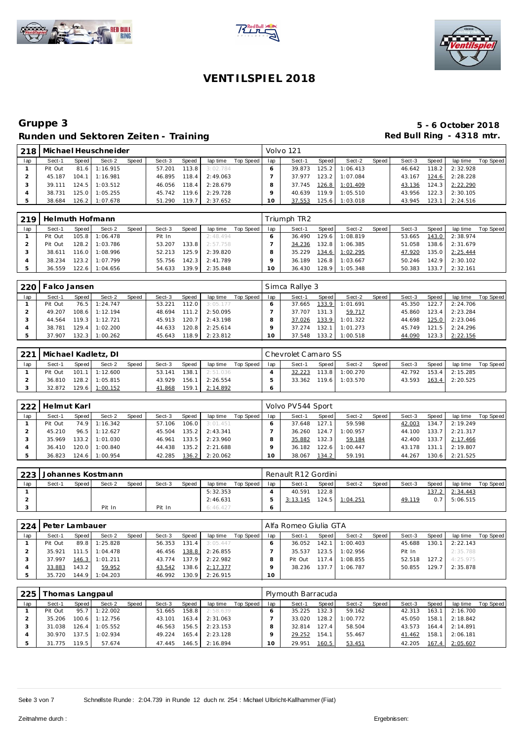





|     |         |        | Michael Heuschneider |       |        |       |          |           |     | Volvo 121 |       |          |       |        |       |          |           |
|-----|---------|--------|----------------------|-------|--------|-------|----------|-----------|-----|-----------|-------|----------|-------|--------|-------|----------|-----------|
| lap | Sect-1  | Speed  | Sect-2               | Speed | Sect-3 | Speed | lap time | Top Speed | lap | Sect-1    | Speed | Sect-2   | Speed | Sect-3 | Speed | lap time | Top Speed |
|     | Pit Out | 81.6   | 1:16.915             |       | 57.201 | 113.8 | 3:02.784 |           |     | 39.873    | 125.2 | 1:06.413 |       | 46.642 | 118.2 | 2:32.928 |           |
|     | 45.187  | 104.1  | 1:16.981             |       | 46.895 | 118.4 | 2:49.063 |           |     | 37.977    | 123.2 | 1:07.084 |       | 43.167 | 124.6 | 2:28.228 |           |
|     | 39.111  | 124.5  | 1:03.512             |       | 46.056 | 118.4 | 2:28.679 |           |     | 37.745    | 126.8 | 1:01.409 |       | 43.136 | 124.3 | 2:22.290 |           |
|     | 38.731  | 125.01 | 1:05.255             |       | 45.742 | 119.6 | 2:29.728 |           |     | 40.639    | 119.9 | 1:05.510 |       | 43.956 | 122.3 | 2:30.105 |           |
|     | 38.684  | 126.2  | 1:07.678             |       | 51.290 | 119.7 | 2:37.652 |           | 10  | 37.553    | 125.6 | 1:03.018 |       | 43.945 | 123.1 | 2:24.516 |           |

| 219 |         |       | Helmuth Hofmann  |       |        |       |          |           |     | Triumph TR2 |         |          |       |        |                    |          |           |
|-----|---------|-------|------------------|-------|--------|-------|----------|-----------|-----|-------------|---------|----------|-------|--------|--------------------|----------|-----------|
| lap | Sect-1  | Speed | Sect-2           | Speed | Sect-3 | Speed | lap time | Top Speed | lap | Sect-1      | Speed   | Sect-2   | Speed | Sect-3 | Speed              | lap time | Top Speed |
|     | Pit Out |       | 105.8 1:06.478   |       | Pit In |       | 2:48.494 |           |     | 36.490      | 129.6   | 1:08.819 |       | 53.665 | 143.0              | 2:38.974 |           |
|     | Pit Out |       | 128.2 1:03.786   |       | 53.207 | 133.8 | 2:57.758 |           |     | 34.236      | 132.8   | 1:06.385 |       | 51.058 | 138.6 <sub>1</sub> | 2:31.679 |           |
|     | 38.611  |       | $116.0$ 1:08.996 |       | 52.213 | 125.9 | 2:39.820 |           |     | 35.229      | 134.6   | 1:02.295 |       | 47.920 | 135.0              | 2:25.444 |           |
|     | 38.234  |       | 123.2 1:07.799   |       | 55.756 | 142.3 | 2:41.789 |           |     | 36.189      | $126.8$ | 1:03.667 |       | 50.246 | 142.9 I            | 2:30.102 |           |
|     | 36.559  |       | 122.6 1:04.656   |       | 54.633 | 139.9 | 2:35.848 |           | 10  | 36.430      | 128.91  | 1:05.348 |       | 50.383 | 133.7              | 2:32.161 |           |

| 220 | Falco Jansen |       |                  |       |        |       |          |           |     | Simca Rallye 3 |       |                |       |        |       |                |           |
|-----|--------------|-------|------------------|-------|--------|-------|----------|-----------|-----|----------------|-------|----------------|-------|--------|-------|----------------|-----------|
| lap | Sect-1       | Speed | Sect-2           | Speed | Sect-3 | Speed | lap time | Top Speed | lap | Sect-1         | Speed | Sect-2         | Speed | Sect-3 | Speed | lap time       | Top Speed |
|     | Pit Out      | 76.5  | 1:24.747         |       | 53.221 | 112.0 | 3:05.177 |           |     | 37.665         |       | 133.9 1:01.691 |       | 45.350 | 122.7 | 2:24.706       |           |
|     | 49.207       |       | 108.6 1:12.194   |       | 48.694 | 111.2 | 2:50.095 |           |     | 37.707         | 131.3 | 59.717         |       | 45.860 | 123.4 | 2:23.284       |           |
|     | 44.564       |       | $119.3$ 1:12.721 |       | 45.913 | 120.7 | 2:43.198 |           |     | 37.026         |       | 133.9 1:01.322 |       | 44.698 |       | 125.0 2:23.046 |           |
|     | 38.781       | 129.4 | 1:02.200         |       | 44.633 | 120.8 | 2:25.614 |           |     | 37.274         | 132.1 | 1:01.273       |       | 45.749 | 121.5 | 2:24.296       |           |
|     | 37.907       | 132.3 | 1:00.262         |       | 45.643 | 118.9 | 2:23.812 |           |     | 37.548         | 133.2 | 1:00.518       |       | 44.090 | 123.3 | 2:22.156       |           |

| 221 |         |       | Michael Kadletz, DI |       |        |       |          |             |     | Chevrolet Camaro SS |       |          |         |        |         |          |           |
|-----|---------|-------|---------------------|-------|--------|-------|----------|-------------|-----|---------------------|-------|----------|---------|--------|---------|----------|-----------|
| lap | Sect-1  | Speed | Sect-2              | Speed | Sect-3 | Speed | lap time | Top Speed I | lap | Sect-1              | Speed | Sect-2   | Speed I | Sect-3 | Speed   | lap time | Top Speed |
|     | Pit Out |       | $101.1$ 1:12.600    |       | 53.141 | 138.1 | 2:51.036 |             |     | 32.223              | 113.8 | 1:00.270 |         | 42.792 | $153.4$ | 2:15.285 |           |
|     | 36.810  |       | 128.2 1:05.815      |       | 43.929 | 156.1 | 2:26.554 |             |     | 33.362              | 119.6 | 1:03.570 |         | 43.593 | $163.4$ | 2:20.525 |           |
|     | 32.872  |       | 129.6 1:00.152      |       | 41.868 | 159.1 | 2:14.892 |             |     |                     |       |          |         |        |         |          |           |

| 222 | Helmut Karl |       |                 |       |        |       |          |           |     | Volvo PV544 Sport |        |          |       |        |       |          |           |
|-----|-------------|-------|-----------------|-------|--------|-------|----------|-----------|-----|-------------------|--------|----------|-------|--------|-------|----------|-----------|
| lap | Sect-1      | Speed | Sect-2          | Speed | Sect-3 | Speed | lap time | Top Speed | lap | Sect-1            | Speed  | Sect-2   | Speed | Sect-3 | Speed | lap time | Top Speed |
|     | Pit Out     |       | 74.9 1:16.342   |       | 57.106 | 106.0 | 3:01.451 |           |     | 37.648            | 127.1  | 59.598   |       | 42.003 | 134.7 | 2:19.249 |           |
|     | 45.210      |       | $96.5$ 1:12.627 |       | 45.504 | 135.2 | 2:43.341 |           |     | 36.260            | 124.   | 1:00.957 |       | 44.100 | 133.7 | 2:21.317 |           |
|     | 35.969      |       | 133.2 1:01.030  |       | 46.961 | 133.5 | 2:23.960 |           |     | 35.882            | 132.31 | 59.184   |       | 42.400 | 133.7 | 2:17.466 |           |
|     | 36.410      |       | 120.0 1:00.840  |       | 44.438 | 135.2 | 2:21.688 |           |     | 36.182            | 122.6  | 1:00.447 |       | 43.178 | 131.1 | 2:19.807 |           |
|     | 36.823      |       | 124.6 1:00.954  |       | 42.285 | 136.2 | 2:20.062 |           |     | 38.067            | 134.2  | 59.191   |       | 44.267 | 130.6 | 2:21.525 |           |

| 223 |        |       | Johannes Kostmann |       |        |       |          |           |     | Renault R12 Gordini |       |                |       |        |       |          |           |
|-----|--------|-------|-------------------|-------|--------|-------|----------|-----------|-----|---------------------|-------|----------------|-------|--------|-------|----------|-----------|
| lap | Sect-1 | Speed | Sect-2            | Speed | Sect-3 | Speed | lap time | Top Speed | lap | Sect-1              | Speed | Sect-2         | Speed | Sect-3 | Speed | lap time | Top Speed |
|     |        |       |                   |       |        |       | 5:32.353 |           |     | 40.591              | 122.8 |                |       |        | 137.2 | 2:34.443 |           |
|     |        |       |                   |       |        |       | 2:46.631 |           |     | 3:13.145            |       | 124.5 1:04.251 |       | 49.119 | 0.7   | 5:06.515 |           |
|     |        |       | Pit In            |       | Pit In |       | 6:46.427 |           |     |                     |       |                |       |        |       |          |           |

| 224 | Peter Lambauer |       |                  |              |        |         |          |           |     | Alfa Romeo Giulia GTA |       |          |       |        |       |                  |           |
|-----|----------------|-------|------------------|--------------|--------|---------|----------|-----------|-----|-----------------------|-------|----------|-------|--------|-------|------------------|-----------|
| lap | Sect-1         | Speed | Sect-2           | <b>Speed</b> | Sect-3 | Speed   | lap time | Top Speed | lap | Sect-1                | Speed | Sect-2   | Speed | Sect-3 | Speed | lap time         | Top Speed |
|     | Pit Out        |       | 89.8 1:25.828    |              | 56.353 | 131.4   | 3:05.447 |           |     | 36.052                | 142.1 | 1:00.403 |       | 45.688 | 130.1 | 2:22.143         |           |
|     | 35.921         |       | $111.5$ 1:04.478 |              | 46.456 | 138.8   | 2:26.855 |           |     | 35.537                | 123.5 | 1:02.956 |       | Pit In |       | 2:35.788         |           |
|     | 37.997         |       | 146.3 1:01.211   |              | 43.774 | 137.9   | 2:22.982 |           |     | Pit Out               | 117.4 | 1:08.855 |       | 52.518 |       | 127.2 4:25.975   |           |
|     | 33.883         | 143.2 | 59.952           |              | 43.542 | 138.6   | 2:17.377 |           |     | 38.236                | 137.7 | 1:06.787 |       | 50.855 |       | $129.7$ 2:35.878 |           |
|     | 35.720         |       | 144.9 1:04.203   |              | 46.992 | 130.9 I | 2:26.915 |           | 10  |                       |       |          |       |        |       |                  |           |

| 225 | Thomas Langpaul |         |                  |       |        |       |          |           |     | Plymouth Barracuda |                    |          |       |        |       |          |           |
|-----|-----------------|---------|------------------|-------|--------|-------|----------|-----------|-----|--------------------|--------------------|----------|-------|--------|-------|----------|-----------|
| lap | Sect-1          | Speed I | Sect-2           | Speed | Sect-3 | Speed | lap time | Top Speed | lap | Sect-1             | Speed              | Sect-2   | Speed | Sect-3 | Speed | lap time | Top Speed |
|     | Pit Out         | 95.7    | 1:22.002         |       | 51.665 | 158.8 | 2:58.639 |           |     | 35.225             | 132.3              | 59.162   |       | 42.313 | 163.1 | 2:16.700 |           |
|     | 35.206          |         | $100.6$ 1:12.756 |       | 43.101 | 163.4 | 2:31.063 |           |     | 33.020             | 128.2              | 1:00.772 |       | 45.050 | 158.1 | 2:18.842 |           |
|     | 31.038          | 126.4   | 1:05.552         |       | 46.563 | 156.5 | 2:23.153 |           |     | 32.814             | 127.4 <sub>1</sub> | 58.504   |       | 43.573 | 164.4 | 2:14.891 |           |
|     | 30.970          | 137.5   | 1:02.934         |       | 49.224 | 165.4 | 2:23.128 |           |     | 29.252             | 154.1              | 55.467   |       | 41.462 | 158.1 | 2:06.181 |           |
|     | 31.775          | 119.5   | 57.674           |       | 47.445 | 146.5 | 2:16.894 |           | 0   | 29.951             | 160.5              | 53.451   |       | 42.205 | 167.4 | 2:05.607 |           |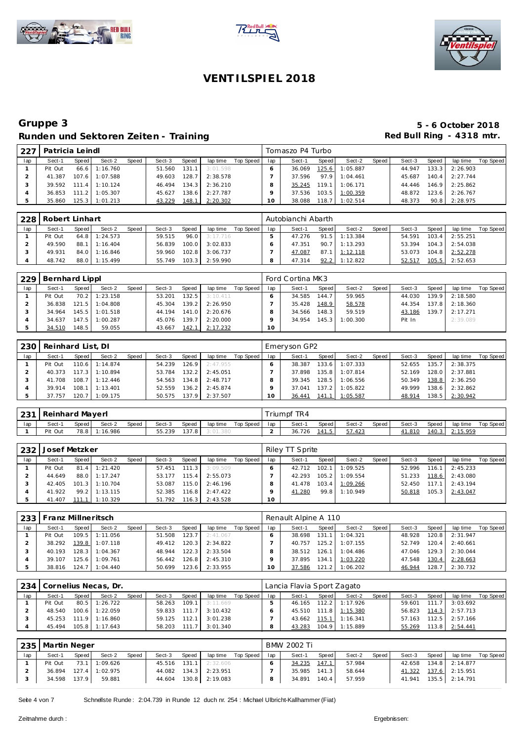





| 1227 | Patricia Leindl |         |                  |       |        |       |          |           |     | Tomaszo P4 Turbo |       |                  |       |        |       |          |           |
|------|-----------------|---------|------------------|-------|--------|-------|----------|-----------|-----|------------------|-------|------------------|-------|--------|-------|----------|-----------|
| lap  | Sect-1          | Speed   | Sect-2           | Speed | Sect-3 | Speed | lap time | Top Speed | lap | Sect-1           | Speed | Sect-2           | Speed | Sect-3 | Speed | lap time | Top Speed |
|      | Pit Out         |         | $66.6$ 1:16.760  |       | 51.560 | 131.1 | 3:01.598 |           |     | 36.069           | 125.6 | 1:05.887         |       | 44.947 | 133.3 | 2:26.903 |           |
|      | 41.387          |         | 107.6 1:07.588   |       | 49.603 | 128.7 | 2:38.578 |           |     | 37.596           |       | 97.9 1:04.461    |       | 45.687 | 140.4 | 2:27.744 |           |
|      | 39.592          |         | $111.4$ 1:10.124 |       | 46.494 | 134.3 | 2:36.210 |           |     | 35.245           |       | $119.1$ 1:06.171 |       | 44.446 | 146.9 | 2:25.862 |           |
|      | 36.853          | 111.2   | 1:05.307         |       | 45.627 | 138.6 | 2:27.787 |           |     | 37.536           |       | 103.5 1:00.359   |       | 48.872 | 123.6 | 2:26.767 |           |
|      | 35.860          | 125.3 I | 1:01.213         |       | 43.229 | 148.1 | 2:20.302 |           | 10  | 38.088           | 118.7 | 1:02.514         |       | 48.373 | 90.8  | 2:28.975 |           |

| 228 | Robert Linhart |       |                 |       |        |       |               |           |     | Autobianchi Abarth |       |                 |       |        |       |                  |           |
|-----|----------------|-------|-----------------|-------|--------|-------|---------------|-----------|-----|--------------------|-------|-----------------|-------|--------|-------|------------------|-----------|
| lap | Sect-1         | Speed | Sect-2          | Speed | Sect-3 | Speed | lap time      | Top Speed | lap | Sect-1             | Speed | Sect-2          | Speed | Sect-3 | Speed | lap time         | Top Speed |
|     | Pit Out        |       | $64.8$ 1:24.573 |       | 59.515 |       | 96.0 3:17.716 |           |     | 47.276             |       | $91.5$ 1:13.384 |       | 54.591 | 103.4 | 2:55.251         |           |
|     | 49.590         |       | 88.1 1:16.404   |       | 56.839 | 100.0 | 3:02.833      |           |     | 47.351             |       | $90.7$ 1:13.293 |       | 53.394 |       | $104.3$ 2:54.038 |           |
|     | 49.931         |       | 84.0 1:16.846   |       | 59.960 | 102.8 | 3:06.737      |           |     | 47.087             |       | 87.1 1:12.118   |       | 53.073 |       | 104.8 2:52.278   |           |
|     | 48.742         |       | 88.0 1:15.499   |       | 55.749 | 103.3 | 2:59.990      |           | 8   | 47.314             |       | $92.2$ 1:12.822 |       | 52.517 |       | 105.5 2:52.653   |           |

| 229 | Bernhard Lippl |       |                |       |        |       |          |           |     | Ford Cortina MK3 |                    |          |       |        |       |          |           |
|-----|----------------|-------|----------------|-------|--------|-------|----------|-----------|-----|------------------|--------------------|----------|-------|--------|-------|----------|-----------|
| lap | Sect-1         | Speed | Sect-2         | Speed | Sect-3 | Speed | lap time | Top Speed | lap | Sect-1           | Speed              | Sect-2   | Speed | Sect-3 | Speed | lap time | Top Speed |
|     | Pit Out        | 70.2  | 1:23.158       |       | 53.201 | 132.5 | 3:10.411 |           |     | 34.585           | 144.7 <sub>1</sub> | 59.965   |       | 44.030 | 139.9 | 2:18.580 |           |
|     | 36.838         | 121.5 | 1:04.808       |       | 45.304 | 139.2 | 2:26.950 |           |     | 35.428           | 148.9              | 58.578   |       | 44.354 | 137.8 | 2:18.360 |           |
|     | 34.964         |       | 145.5 1:01.518 |       | 44.194 | 141.0 | 2:20.676 |           |     | 34.566           | 148.3              | 59.519   |       | 43.186 | 139.7 | 2:17.271 |           |
|     | 34.637         | 147.5 | 1:00.287       |       | 45.076 | 139.7 | 2:20.000 |           |     | 34.954           | 145.3              | 1:00.300 |       | Pit In |       | 2:39.089 |           |
|     | 34.510         | 148.5 | 59.055         |       | 43.667 | 142.1 | 2:17.232 |           | 10  |                  |                    |          |       |        |       |          |           |

| 230 | Reinhard List, DI |       |          |       |        |        |          |           |     | Emeryson GP2 |       |          |       |        |       |          |           |
|-----|-------------------|-------|----------|-------|--------|--------|----------|-----------|-----|--------------|-------|----------|-------|--------|-------|----------|-----------|
| lap | Sect-1            | Speed | Sect-2   | Speed | Sect-3 | Speed  | lap time | Top Speed | lap | Sect-1       | Speed | Sect-2   | Speed | Sect-3 | Speed | lap time | Top Speed |
|     | Pit Out           | 110.6 | 1:14.874 |       | 54.239 | 126.9  | 2:47.955 |           |     | 38.387       | 133.6 | 1:07.333 |       | 52.655 | 135.7 | 2:38.375 |           |
|     | 40.373            | 117.3 | 1:10.894 |       | 53.784 | 132.2  | 2:45.051 |           |     | 37.898       | 135.8 | 1:07.814 |       | 52.169 | 128.0 | 2:37.881 |           |
|     | 41.708            | 108.7 | 1:12.446 |       | 54.563 | 134.8  | 2:48.717 |           |     | 39.345       | 128.5 | 1:06.556 |       | 50.349 | 138.8 | 2:36.250 |           |
|     | 39.914            | 108.1 | 1:13.401 |       | 52.559 | 136.21 | 2:45.874 |           |     | 37.041       | 137.2 | 1:05.822 |       | 49.999 | 138.6 | 2:32.862 |           |
|     | 37.757            | 120.7 | 1:09.175 |       | 50.575 | 137.9  | 2:37.507 |           | 10  | 36.441       | 141.1 | 1:05.587 |       | 48.914 | 138.5 | 2:30.942 |           |

| 231 | Reinhard Mayerl |       |               |       |        |       |          |           |     | riumpf TR4 |       |        |       |        |       |          |           |
|-----|-----------------|-------|---------------|-------|--------|-------|----------|-----------|-----|------------|-------|--------|-------|--------|-------|----------|-----------|
| lap | Sect-1          | Speed | Sect-2        | Speed | Sect-3 | Speed | lap time | Top Speed | lap | Sect-1     | Speed | Sect-2 | Speed | Sect-3 | Speed | lap time | Top Speed |
|     | Pit Out         |       | 78.8 1:16.986 |       | 55.239 | 137.8 |          |           |     | 36.726     | 141.5 | 57.423 |       | 1.810  | 140.3 | 2:15.959 |           |

| 232 | Josef Metzker |       |                  |              |              |          |          |           |     | Riley TT Sprite |       |                |       |        |       |                  |           |
|-----|---------------|-------|------------------|--------------|--------------|----------|----------|-----------|-----|-----------------|-------|----------------|-------|--------|-------|------------------|-----------|
| lap | Sect-1        | Speed | Sect-2           | <b>Speed</b> | Sect-3       | Speed    | lap time | Top Speed | lap | Sect-1          | Speed | Sect-2         | Speed | Sect-3 | Speed | lap time         | Top Speed |
|     | Pit Out       |       | 81.4 1:21.420    |              | 57.451       | $-111.3$ | 3:09.509 |           |     | 42.712          | 102.1 | 1:09.525       |       | 52.996 |       | $116.1$ 2:45.233 |           |
|     | 44.649        |       | 88.0 1:17.247    |              | 53.177       | 115.4    | 2:55.073 |           |     | 42.293          | 105.2 | 1:09.554       |       | 51.233 |       | 118.6 2:43.080   |           |
|     | 42.405        |       | 101.3 1:10.704   |              | 53.087       | 115.0    | 2:46.196 |           |     | 41.478          |       | 103.4 1:09.266 |       | 52.450 |       | $117.1$ 2:43.194 |           |
|     | 41.922        |       | $99.2$ 1:13.115  |              | 52.385       | 116.8    | 2:47.422 |           |     | 41.280          |       | 99.8 1:10.949  |       | 50.818 |       | 105.3 2:43.047   |           |
|     | 41.407        |       | $111.1$ 1:10.329 |              | 51.792 116.3 |          | 2:43.528 |           | 10  |                 |       |                |       |        |       |                  |           |

| 233 | Franz Millneritsch |       |                |       |        |       |          |           |     | Renault Alpine A 110 |       |          |       |        |       |          |           |
|-----|--------------------|-------|----------------|-------|--------|-------|----------|-----------|-----|----------------------|-------|----------|-------|--------|-------|----------|-----------|
| lap | Sect-1             | Speed | Sect-2         | Speed | Sect-3 | Speed | lap time | Top Speed | lap | Sect-1               | Speed | Sect-2   | Speed | Sect-3 | Speed | lap time | Top Speed |
|     | Pit Out            |       | 109.5 1:11.056 |       | 51.508 | 123.7 | 2:41.067 |           |     | 38.698               | 131.1 | 1:04.321 |       | 48.928 | 120.8 | 2:31.947 |           |
|     | 38.292             |       | 139.8 1:07.118 |       | 49.412 | 120.3 | 2:34.822 |           |     | 40.757               | 125.2 | 1:07.155 |       | 52.749 | 120.4 | 2:40.661 |           |
|     | 40.193             |       | 128.3 1:04.367 |       | 48.944 | 122.3 | 2:33.504 |           |     | 38.512               | 126.1 | 1:04.486 |       | 47.046 | 129.3 | 2:30.044 |           |
|     | 39.107             |       | 125.6 1:09.761 |       | 56.442 | 126.8 | 2:45.310 |           |     | 37.895               | 134.1 | 1:03.220 |       | 47.548 | 130.4 | 2:28.663 |           |
|     | 38.816             |       | 124.7 1:04.440 |       | 50.699 | 123.6 | 2:33.955 |           |     | 37.586               | 121.2 | 1:06.202 |       | 46.944 | 128.7 | 2:30.732 |           |

| 234 |         |       | Cornelius Necas, Dr. |       |        |        |          |             |     | Lancia Flavia Sport Zagato |       |                  |       |        |       |          |           |
|-----|---------|-------|----------------------|-------|--------|--------|----------|-------------|-----|----------------------------|-------|------------------|-------|--------|-------|----------|-----------|
| lap | Sect-1  | Speed | Sect-2               | Speed | Sect-3 | Speed  | lap time | Top Speed I | lap | Sect-1                     | Speed | Sect-2           | Speed | Sect-3 | Speed | lap time | Top Speed |
|     | Pit Out | 80.5  | 1:26.722             |       | 58.263 | 109.1  | 3:11.669 |             |     | 46.165                     | 112.2 | 1:17.926         |       | 59.601 | 111.7 | 3:03.692 |           |
|     | 48.540  | 100.6 | 1:22.059             |       | 59.833 | 111.7  | 3:10.432 |             |     | 45.510                     |       | $111.8$ 1:15.380 |       | 56.823 | 114.3 | 2:57.713 |           |
|     | 45.253  |       | 111.9 1:16.860       |       | 59.125 | 112.1  | 3:01.238 |             |     | 43.662                     | 115.1 | 1:16.341         |       | 57.163 | 112.5 | 2:57.166 |           |
|     | 45.494  |       | $105.8$ 1:17.643     |       | 58.203 | 111.71 | 3:01.340 |             |     | 43.283                     |       | 104.9 1:15.889   |       | 55.269 | 113.8 | 2:54.441 |           |

| 235 | Martin Neger |       |                |       |        |       |                       |                    |     | <b>BMW 2002 Ti</b> |       |        |       |        |       |                |           |
|-----|--------------|-------|----------------|-------|--------|-------|-----------------------|--------------------|-----|--------------------|-------|--------|-------|--------|-------|----------------|-----------|
| lap | Sect-1       | Speed | Sect-2         | Speed | Sect-3 | Speed |                       | lap time Top Speed | lap | Sect-1             | Speed | Sect-2 | Speed | Sect-3 | Speed | lap time       | Top Speed |
|     | Pit Out      |       | 73.1 1:09.626  |       |        |       | 45.516 131.1 2:32.606 |                    |     | 34.235             | 147.1 | 57.984 |       | 42.658 |       | 134.8 2:14.877 |           |
|     | 36.894       |       | 127.4 1:02.975 |       |        |       | 44.082 134.3 2:23.951 |                    |     | 35.985             | 141.3 | 58.644 |       | 41.322 |       | 137.6 2:15.951 |           |
|     | 34.598       | 137.9 | 59.881         |       |        |       | 44.604 130.8 2:19.083 |                    |     | 34.891             | 140.4 | 57.959 |       | 41.941 |       | 135.5 2:14.791 |           |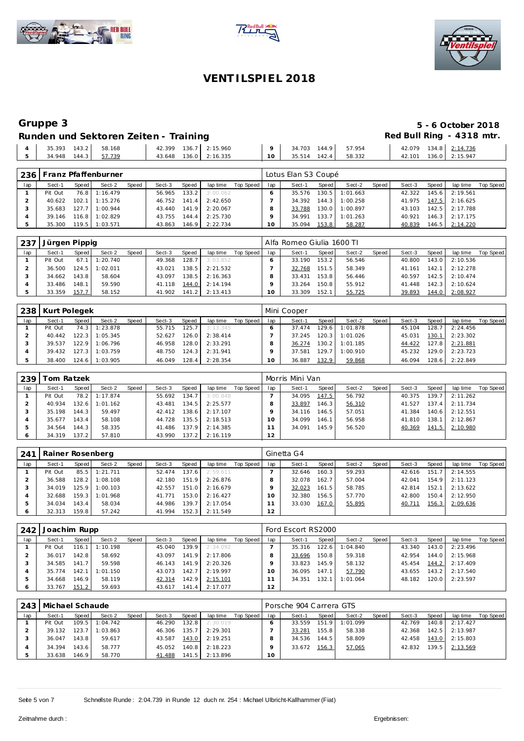





## **Gruppe 3 5 - 6 October 2018** Red Bull Ring - 4318 mtr.

| Runden und Sektoren Zeiten - Training |  |  |
|---------------------------------------|--|--|
|                                       |  |  |

| 35.393<br>143.2        | 58.168 |  | 42.399 136.7 2:15.960 |           | 34.703 | 144.9 | 57.954 | 42.079 | 134.8 2:14.736        |
|------------------------|--------|--|-----------------------|-----------|--------|-------|--------|--------|-----------------------|
| 144.3 57.739<br>34.948 |        |  | 43.648 136.0 2:16.335 | $10^{-7}$ | 35.514 | 142.4 | 58.332 |        | 42.101 136.0 2:15.947 |
|                        |        |  |                       |           |        |       |        |        |                       |

| 236 |         |         | Franz Pfaffenburner |       |        |       |          |           |        | Lotus Elan S3 Coupé |       |          |       |        |       |          |           |
|-----|---------|---------|---------------------|-------|--------|-------|----------|-----------|--------|---------------------|-------|----------|-------|--------|-------|----------|-----------|
| lap | Sect-1  | Speed I | Sect-2              | Speed | Sect-3 | Speed | lap time | Top Speed | lap    | Sect-1              | Speed | Sect-2   | Speed | Sect-3 | Speed | lap time | Top Speed |
|     | Pit Out | 76.8    | 1:16.479            |       | 56.965 | 133.2 | 3:00.062 |           |        | 35.576              | 130.5 | 1:01.663 |       | 42.322 | 145.6 | 2:19.561 |           |
|     | 40.622  |         | $102.1$ 1:15.276    |       | 46.752 | 141.4 | 2:42.650 |           |        | 34.392              | 144.3 | 1:00.258 |       | 41.975 | 147.5 | 2:16.625 |           |
|     | 35.683  |         | 127.7 1:00.944      |       | 43.440 | 141.9 | 2:20.067 |           |        | 33.788              | 130.0 | 1:00.897 |       | 43.103 | 142.5 | 2:17.788 |           |
|     | 39.146  |         | 116.8 1:02.829      |       | 43.755 | 144.4 | 2:25.730 |           |        | 34.991              | 133.7 | 1:01.263 |       | 40.921 | 146.3 | 2:17.175 |           |
|     | 35.300  | 119.5   | 1:03.571            |       | 43.863 | 146.9 | 2:22.734 |           | $10-1$ | 35.094              | 153.8 | 58.287   |       | 40.839 | 146.5 | 2:14.220 |           |

| . 237 | Jürgen Pippig |       |          |       |        |       |          |           |     | Alfa Romeo Giulia 1600 TI |       |        |       |        |       |                |           |
|-------|---------------|-------|----------|-------|--------|-------|----------|-----------|-----|---------------------------|-------|--------|-------|--------|-------|----------------|-----------|
| lap   | Sect-1        | Speed | Sect-2   | Speed | Sect-3 | Speed | lap time | Top Speed | lap | Sect-1                    | Speed | Sect-2 | Speed | Sect-3 | Speed | lap time       | Top Speed |
|       | Pit Out       | 67.1  | 1:20.740 |       | 49.368 | 128.7 | 3:03.852 |           |     | 33.190                    | 153.2 | 56.546 |       | 40.800 | 143.0 | 2:10.536       |           |
|       | 36.500        | 124.5 | 1:02.011 |       | 43.021 | 138.5 | 2:21.532 |           |     | 32.768                    | 151.5 | 58.349 |       | 41.161 | 142.1 | 2:12.278       |           |
|       | 34.662        | 143.8 | 58.604   |       | 43.097 | 138.5 | 2:16.363 |           |     | 33.431                    | 153.8 | 56.446 |       | 40.597 |       | 142.5 2:10.474 |           |
|       | 33.486        | 148.1 | 59.590   |       | 41.118 | 144.0 | 2:14.194 |           |     | 33.264                    | 150.8 | 55.912 |       | 41.448 | 142.3 | 2:10.624       |           |
|       | 33.359        | 157.7 | 58.152   |       | 41.902 | 141.2 | 2:13.413 |           | 0   | 33.309                    | 152.1 | 55.725 |       | 39.893 | 144.0 | 2:08.927       |           |

|     | 238   Kurt Polegek |       |          |       |        |                    |          |           |     | Mini Cooper |                    |          |       |        |       |          |           |
|-----|--------------------|-------|----------|-------|--------|--------------------|----------|-----------|-----|-------------|--------------------|----------|-------|--------|-------|----------|-----------|
| lap | Sect-1             | Speed | Sect-2   | Speed | Sect-3 | Speed              | lap time | Top Speed | lap | Sect-1      | Speed              | Sect-2   | Speed | Sect-3 | Speed | lap time | Top Speed |
|     | Pit Out            | 74.3  | 1:23.878 |       | 55.715 | 125.7 <sub>1</sub> | 3:13.345 |           |     | 37.474      | 129.6 <sub>1</sub> | 1:01.878 |       | 45.104 | 128.7 | 2:24.456 |           |
|     | 40.442             | 122.3 | 1:05.345 |       | 52.627 | 126.0 l            | 2:38.414 |           |     | 37.245      | 120.3              | 1:01.026 |       | 45.031 | 130.1 | 2:23.302 |           |
|     | 39.537             | 122.9 | 1:06.796 |       | 46.958 | 128.0              | 2:33.291 |           |     | 36.274      | 130.2              | 1:01.185 |       | 44.422 | 127.8 | 2:21.881 |           |
|     | 39.432             | 127.3 | 1:03.759 |       | 48.750 | 124.3              | 2:31.941 |           |     | 37.581      | 129.7              | 1:00.910 |       | 45.232 | 129.0 | 2:23.723 |           |
|     | 38.400             | 124.6 | 1:03.905 |       | 46.049 | 128.4              | 2:28.354 |           |     | 36.887      | 132.9              | 59.868   |       | 46.094 | 128.6 | 2:22.849 |           |

| 239 | om Ratzek |         |          |       |        |       |          |           |     | Morris Mini Van |       |        |       |        |       |          |           |
|-----|-----------|---------|----------|-------|--------|-------|----------|-----------|-----|-----------------|-------|--------|-------|--------|-------|----------|-----------|
| lap | Sect-1    | Speed   | Sect-2   | Speed | Sect-3 | Speed | lap time | Top Speed | lap | Sect-1          | Speed | Sect-2 | Speed | Sect-3 | Speed | lap time | Top Speed |
|     | Pit Out   | 78.2    | 1:17.874 |       | 55.692 | 134.7 | 3:00.848 |           |     | 34.095          | 147.5 | 56.792 |       | 40.375 | 139.7 | 2:11.262 |           |
|     | 40.934    | 132.6 l | 1:01.162 |       | 43.481 | 134.5 | 2:25.577 |           |     | 33.897          | 146.3 | 56.310 |       | 41.527 | 137.4 | 2:11.734 |           |
|     | 35.198    | 144.3 I | 59.497   |       | 42.412 | 138.6 | 2:17.107 |           |     | 34.116          | 146.5 | 57.051 |       | 41.384 | 140.6 | 2:12.551 |           |
|     | 35.677    | 143.4   | 58.108   |       | 44.728 | 135.5 | 2:18.513 |           |     | 34.099          | 146.1 | 56.958 |       | 41.810 | 138.1 | 2:12.867 |           |
|     | 34.564    | 144.3   | 58.335   |       | 41.486 | 137.9 | 2:14.385 |           |     | 34.091          | 145.9 | 56.520 |       | 40.369 | 141.5 | 2:10.980 |           |
|     | 34.319    | 137.2   | 57.810   |       | 43.990 | 137.2 | 2:16.119 |           | 12  |                 |       |        |       |        |       |          |           |

| 241 | Rainer Rosenberg |         |                  |       |        |       |          |           |     | Ginetta G4 |       |        |       |        |       |          |           |
|-----|------------------|---------|------------------|-------|--------|-------|----------|-----------|-----|------------|-------|--------|-------|--------|-------|----------|-----------|
| lap | Sect-1           | Speed   | Sect-2           | Speed | Sect-3 | Speed | lap time | Top Speed | lap | Sect-1     | Speed | Sect-2 | Speed | Sect-3 | Speed | lap time | Top Speed |
|     | Pit Out          |         | 85.5 1:21.711    |       | 52.474 | 137.6 | 2:59.611 |           |     | 32.646     | 160.3 | 59.293 |       | 42.616 | 151.7 | 2:14.555 |           |
|     | 36.588           |         | $128.2$ 1:08.108 |       | 42.180 | 151.9 | 2:26.876 |           |     | 32.078     | 162.7 | 57.004 |       | 42.041 | 154.9 | 2:11.123 |           |
|     | 34.019           |         | 125.9 1:00.103   |       | 42.557 | 151.0 | 2:16.679 |           |     | 32.023     | 161.5 | 58.785 |       | 42.814 | 152.1 | 2:13.622 |           |
|     | 32.688           |         | 159.3 1:01.968   |       | 41.771 | 153.0 | 2:16.427 |           | 10. | 32.380     | 156.5 | 57.770 |       | 42.800 | 150.4 | 2:12.950 |           |
|     | 34.034           | 143.4 I | 58.034           |       | 44.986 | 139.7 | 2:17.054 |           |     | 33.030     | 167.0 | 55.895 |       | 40.711 | 156.3 | 2:09.636 |           |
|     | 32.313           | 159.8   | 57.242           |       | 41.994 | 152.3 | 2:11.549 |           | 12  |            |       |        |       |        |       |          |           |

| 242 | Joachim Rupp |       |          |       |        |         |          |           |          | Ford Escort RS2000 |       |          |       |        |       |          |           |
|-----|--------------|-------|----------|-------|--------|---------|----------|-----------|----------|--------------------|-------|----------|-------|--------|-------|----------|-----------|
| lap | Sect-1       | Speed | Sect-2   | Speed | Sect-3 | Speed   | lap time | Top Speed | lap      | Sect-1             | Speed | Sect-2   | Speed | Sect-3 | Speed | lap time | Top Speed |
|     | Pit Out      | 116.1 | 1:10.198 |       | 45.040 | 139.9   | 2:34.092 |           |          | 35.316             | 122.6 | 1:04.840 |       | 43.340 | 143.0 | 2:23.496 |           |
|     | 36.017       | 42.8  | 58.692   |       | 43.097 | 141.9   | 2:17.806 |           |          | 33.696             | 150.8 | 59.318   |       | 42.954 | 144.0 | 2:15.968 |           |
|     | 34.585       | 141.7 | 59.598   |       | 46.143 | 141.9   | 2:20.326 |           |          | 33.823             | 145.9 | 58.132   |       | 45.454 | 144.2 | 2:17.409 |           |
|     | 35.774       | 142.1 | 1:01.150 |       | 43.073 | 142.7   | 2:19.997 |           | $\Omega$ | 36.095             | 147.1 | 57.790   |       | 43.655 | 143.2 | 2:17.540 |           |
|     | 34.668       | 146.9 | 58.119   |       | 42.314 | 142.9 I | 2:15.101 |           |          | 34.351             | 132.1 | 1:01.064 |       | 48.182 | 120.0 | 2:23.597 |           |
| O   | 33.767       | 151.2 | 59.693   |       | 43.617 | 141.4   | 2:17.077 |           | 12       |                    |       |          |       |        |       |          |           |

|     | 243   Michael Schaude |       |          |       |        |       |          |           |     | Porsche 904 Carrera GTS |       |                |       |        |       |          |           |
|-----|-----------------------|-------|----------|-------|--------|-------|----------|-----------|-----|-------------------------|-------|----------------|-------|--------|-------|----------|-----------|
| lap | Sect-1                | Speed | Sect-2   | Speed | Sect-3 | Speed | lap time | Top Speed | lap | Sect-1                  | Speed | Sect-2         | Speed | Sect-3 | Speed | lap time | Top Speed |
|     | Pit Out               | 109.5 | 1:04.742 |       | 46.290 | 132.8 | 2:30.019 |           |     | 33.559                  |       | 151.9 1:01.099 |       | 42.769 | 140.8 | 2:17.427 |           |
|     | 39.132                | 123.7 | 1:03.863 |       | 46.306 | 135.7 | 2:29.301 |           |     | 33.281                  | 155.8 | 58.338         |       | 42.368 | 142.5 | 2:13.987 |           |
|     | 36.047                | 143.8 | 59.617   |       | 43.587 | 143.0 | 2:19.251 |           |     | 34.536                  | 144.5 | 58.809         |       | 42.458 | 143.0 | 2:15.803 |           |
|     | 34.394                | 143.6 | 58.777   |       | 45.052 | 140.8 | 2:18.223 |           |     | 33.672                  | 156.3 | 57.065         |       | 42.832 | 139.5 | 2:13.569 |           |
|     | 33.638                | 146.9 | 58.770   |       | 41.488 | 141.5 | 2:13.896 |           | 10  |                         |       |                |       |        |       |          |           |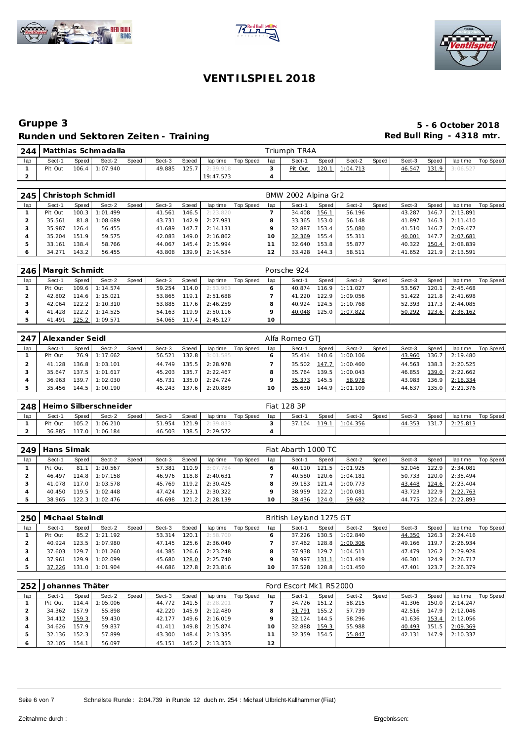





|     |         |       | 244   Matthias Schmadalla |       |        |       |           |           |     | Triumph TR4A |              |          |       |        |       |          |           |
|-----|---------|-------|---------------------------|-------|--------|-------|-----------|-----------|-----|--------------|--------------|----------|-------|--------|-------|----------|-----------|
| lap | Sect-1  | Speed | Sect-2                    | Speed | Sect-3 | Speed | lap time  | Top Speed | lap | Sect-1       | Speed        | Sect-2   | Speed | Sect-3 | Speed | lap time | Top Speed |
|     | Pit Out |       | 106.4 1:07.940            |       | 49.885 | 125.7 | 2:39.918  |           |     | Pit Out      | <u>120.1</u> | 1:04.713 |       | 46.547 | 131.9 | 3:06.527 |           |
|     |         |       |                           |       |        |       | 19:47.573 |           |     |              |              |          |       |        |       |          |           |

| 245 | Christoph Schmidl |         |                  |       |        |       |          |           |         | BMW 2002 Alpina Gr2 |       |        |       |        |       |                  |           |
|-----|-------------------|---------|------------------|-------|--------|-------|----------|-----------|---------|---------------------|-------|--------|-------|--------|-------|------------------|-----------|
| lap | Sect-1            | Speed   | Sect-2           | Speed | Sect-3 | Speed | lap time | Top Speed | lap     | Sect-1              | Speed | Sect-2 | Speed | Sect-3 | Speed | lap time         | Top Speed |
|     | Pit Out           |         | $100.3$ 1:01.499 |       | 41.561 | 146.5 | 2:23.820 |           |         | 34.408              | 156.1 | 56.196 |       | 43.287 | 146.7 | 2:13.891         |           |
|     | 35.561            |         | 81.8 1:08.689    |       | 43.731 | 142.9 | 2:27.981 |           |         | 33.365              | 153.0 | 56.148 |       | 41.897 |       | $146.3$ 2:11.410 |           |
|     | 35.987            | 126.4   | 56.455           |       | 41.689 | 147.7 | 2:14.131 |           |         | 32.887              | 153.4 | 55.080 |       | 41.510 | 146.7 | 2:09.477         |           |
|     | 35.204            | 151.9   | 59.575           |       | 42.083 | 149.0 | 2:16.862 |           | $10-10$ | 32.369              | 155.4 | 55.311 |       | 40.001 | 147.7 | 2:07.681         |           |
|     | 33.161            | 138.4   | 58.766           |       | 44.067 | 145.4 | 2:15.994 |           |         | 32.640              | 153.8 | 55.877 |       | 40.322 | 150.4 | 2:08.839         |           |
|     | 34.271            | 143.2 l | 56.455           |       | 43.808 | 139.9 | 2:14.534 |           | 12      | 33.428              | 144.3 | 58.511 |       | 41.652 |       | 121.9 2:13.591   |           |

|     | 246   Margit Schmidt |       |                  |       |        |       |          |           |     | Porsche 924 |       |                  |       |        |       |          |           |
|-----|----------------------|-------|------------------|-------|--------|-------|----------|-----------|-----|-------------|-------|------------------|-------|--------|-------|----------|-----------|
| lap | Sect-1               | Speed | Sect-2           | Speed | Sect-3 | Speed | lap time | Top Speed | lap | Sect-1      | Speed | Sect-2           | Speed | Sect-3 | Speed | lap time | Top Speed |
|     | Pit Out              |       | 109.6 1:14.574   |       | 59.254 | 114.0 | 2:53.963 |           |     | 40.874      |       | 116.9 1:11.027   |       | 53.567 | 120.1 | 2:45.468 |           |
|     | 42.802               |       | $114.6$ 1:15.021 |       | 53.865 | 119.1 | 2:51.688 |           |     | 41.220      | 122.9 | 1:09.056         |       | 51.422 | 121.8 | 2:41.698 |           |
|     | 42.064               |       | $122.2$ 1:10.310 |       | 53.885 | 117.6 | 2:46.259 |           |     | 40.924      |       | $124.5$ 1:10.768 |       | 52.393 | 117.3 | 2:44.085 |           |
|     | 41.428               | 122.2 | 1:14.525         |       | 54.163 | 119.9 | 2:50.116 |           |     | 40.048      |       | 125.0 1:07.822   |       | 50.292 | 123.6 | 2:38.162 |           |
|     | 41.491               | 125.2 | 1:09.571         |       | 54.065 | 117.4 | 2:45.127 |           | 10  |             |       |                  |       |        |       |          |           |

|     | 247   Alexander Seidl |       |                  |       |        |       |          |           |     | l Alfa Romeo GTJ |                    |          |       |        |                    |          |           |
|-----|-----------------------|-------|------------------|-------|--------|-------|----------|-----------|-----|------------------|--------------------|----------|-------|--------|--------------------|----------|-----------|
| lap | Sect-1                | Speed | Sect-2           | Speed | Sect-3 | Speed | lap time | Top Speed | lap | Sect-1           | Speed              | Sect-2   | Speed | Sect-3 | Speed              | lap time | Top Speed |
|     | Pit Out               |       | 76.9 1:17.662    |       | 56.521 | 132.8 | 3:01.585 |           |     | 35.414           | 140.6              | 1:00.106 |       | 43.960 | 136.7              | 2:19.480 |           |
|     | 41.128                |       | $136.8$ 1:03.101 |       | 44.749 | 135.5 | 2:28.978 |           |     | 35.502           | 147.7              | 1:00.460 |       | 44.563 | 138.3              | 2:20.525 |           |
|     | 35.647                |       | $137.5$ 1:01.617 |       | 45.203 | 135.7 | 2:22.467 |           |     | 35.764           | 139.51             | 1:00.043 |       | 46.855 | 139.0              | 2:22.662 |           |
|     | 36.963                |       | 139.7 1:02.030   |       | 45.731 | 135.0 | 2:24.724 |           |     | 35.373           | 145.5              | 58.978   |       | 43.983 | 136.9 <sub>1</sub> | 2:18.334 |           |
|     | 35.456                |       | 144.5 1:00.190   |       | 45.243 | 137.6 | 2:20.889 |           | 10  | 35.630           | 144.9 <sub>1</sub> | 1:01.109 |       | 44.637 | 135.0              | 2:21.376 |           |

|     | 248   Heimo Silberschneider |       |                |       |        |       |                  |           |     | Fiat 128 3P |       |                |       |        |       |          |           |
|-----|-----------------------------|-------|----------------|-------|--------|-------|------------------|-----------|-----|-------------|-------|----------------|-------|--------|-------|----------|-----------|
| lap | Sect-1                      | Speed | Sect-2         | Speed | Sect-3 | Speed | lap time         | Top Speed | lap | Sect-1      | Speed | Sect-2         | Speed | Sect-3 | Speed | lap time | Top Speed |
|     | Pit Out                     |       | 105.2 1:06.210 |       | 51.954 |       | $121.9$ 2:39.833 |           |     | 37.104      |       | 119.1 1:04.356 |       | 44.353 | 131.  | 2:25.813 |           |
|     | 36.885                      |       | 117.0 1:06.184 |       | 46.503 | 138.5 | 2:29.572         |           |     |             |       |                |       |        |       |          |           |

| 249 | Hans Simak |         |                  |       |        |       |          |             |           | Fiat Abarth 1000 TC |         |          |       |        |       |                  |           |
|-----|------------|---------|------------------|-------|--------|-------|----------|-------------|-----------|---------------------|---------|----------|-------|--------|-------|------------------|-----------|
| lap | Sect-1     | Speed I | Sect-2           | Speed | Sect-3 | Speed | lap time | Top Speed I | lap       | Sect-1              | Speed I | Sect-2   | Speed | Sect-3 | Speed | lap time         | Top Speed |
|     | Pit Out    |         | 81.1 1:20.567    |       | 57.381 | 110.9 | 3:07.784 |             |           | 40.110              | 121.5   | 1:01.925 |       | 52.046 | 122.9 | 2:34.081         |           |
|     | 46.497     |         | 114.8 1:07.158   |       | 46.976 | 118.8 | 2:40.631 |             |           | 40.580              | 120.6   | 1:04.181 |       | 50.733 | 120.0 | 2:35.494         |           |
|     | 41.078     |         | $117.0$ 1:03.578 |       | 45.769 | 119.2 | 2:30.425 |             |           | 39.183              | 121.4   | 1:00.773 |       | 43.448 |       | 124.6 2:23.404   |           |
|     | 40.450     |         | $119.5$ 1:02.448 |       | 47.424 | 123.1 | 2:30.322 |             |           | 38.959              | 122.2   | 1:00.081 |       | 43.723 | 122.9 | 2:22.763         |           |
|     | 38.965     |         | 122.3 1:02.476   |       | 46.698 | 121.2 | 2:28.139 |             | $10^{-1}$ | 38.436              | 124.0   | 59.682   |       | 44.775 |       | $122.6$ 2:22.893 |           |

| 250 | Michael Steindl |       |          |       |        |        |          |           |     | British Leyland 1275 GT |       |          |       |        |       |          |           |
|-----|-----------------|-------|----------|-------|--------|--------|----------|-----------|-----|-------------------------|-------|----------|-------|--------|-------|----------|-----------|
| lap | Sect-1          | Speed | Sect-2   | Speed | Sect-3 | Speed  | lap time | Top Speed | lap | Sect-1                  | Speed | Sect-2   | Speed | Sect-3 | Speed | lap time | Top Speed |
|     | Pit Out         | 85.2  | 1:21.192 |       | 53.314 | 120.1  | 2:58.700 |           |     | 37.226                  | 130.5 | 1:02.840 |       | 44.350 | 126.3 | 2:24.416 |           |
|     | 40.924          | 123.5 | 1:07.980 |       | 47.145 | 125.61 | 2:36.049 |           |     | 37.462                  | 128.8 | 1:00.306 |       | 49.166 | 119.7 | 2:26.934 |           |
|     | 37.603          | 129.7 | 1:01.260 |       | 44.385 | 126.6  | 2:23.248 |           |     | 37.938                  | 129.7 | 1:04.511 |       | 47.479 | 126.2 | 2:29.928 |           |
|     | 37.961          | 129.9 | 1:02.099 |       | 45.680 | 128.0  | 2:25.740 |           |     | 38.997                  | 131.1 | 1:01.419 |       | 46.301 | 124.9 | 2:26.717 |           |
|     | 37.226          | 131.0 | 1:01.904 |       | 44.686 | 127.8  | 2:23.816 |           | 10  | 37.528                  | 128.8 | 1:01.450 |       | 47.401 | 123.7 | 2:26.379 |           |

| 252 | Johannes Thäter |       |          |       |        |       |          |           |     | Ford Escort Mk1 RS2000 |       |        |       |        |       |          |           |
|-----|-----------------|-------|----------|-------|--------|-------|----------|-----------|-----|------------------------|-------|--------|-------|--------|-------|----------|-----------|
| lap | Sect-1          | Speed | Sect-2   | Speed | Sect-3 | Speed | lap time | Top Speed | lap | Sect-1                 | Speed | Sect-2 | Speed | Sect-3 | Speed | lap time | Top Speed |
|     | Pit Out         | 114.4 | 1:05.006 |       | 44.772 | 141.5 | 2:28.201 |           |     | 34.726                 | 151.2 | 58.215 |       | 41.306 | 150.0 | 2:14.247 |           |
|     | 34.362          | 157.9 | 55.898   |       | 42.220 | 145.9 | 2:12.480 |           |     | 31.791                 | 155.2 | 57.739 |       | 42.516 | 147.9 | 2:12.046 |           |
|     | 34.412          | 159.3 | 59.430   |       | 42.177 | 149.6 | 2:16.019 |           |     | 32.124                 | 144.5 | 58.296 |       | 41.636 | 153.4 | 2:12.056 |           |
|     | 34.626          | 157.9 | 59.837   |       | 41.411 | 149.8 | 2:15.874 |           |     | 32.888                 | 159.3 | 55.988 |       | 40.493 | 151.5 | 2:09.369 |           |
|     | 32.136          | 152.3 | 57.899   |       | 43.300 | 148.4 | 2:13.335 |           |     | 32.359                 | 154.5 | 55.847 |       | 42.131 | 147.9 | 2:10.337 |           |
|     | 32.105          | 154.1 | 56.097   |       | 45.151 | 145.2 | 2:13.353 |           | 12  |                        |       |        |       |        |       |          |           |